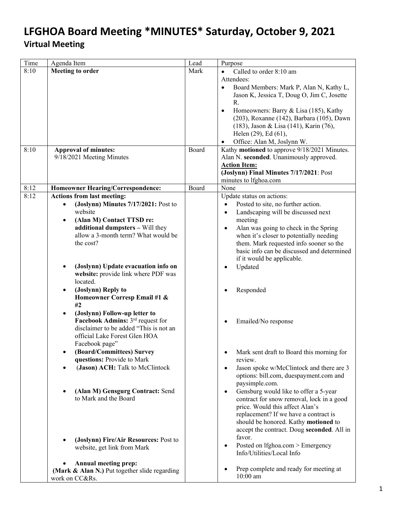| Time | Agenda Item                                               | Lead  | Purpose                                                                       |
|------|-----------------------------------------------------------|-------|-------------------------------------------------------------------------------|
| 8:10 | <b>Meeting to order</b>                                   | Mark  | Called to order 8:10 am                                                       |
|      |                                                           |       | Attendees:                                                                    |
|      |                                                           |       | Board Members: Mark P, Alan N, Kathy L,<br>$\bullet$                          |
|      |                                                           |       | Jason K, Jessica T, Doug O, Jim C, Josette                                    |
|      |                                                           |       | R.                                                                            |
|      |                                                           |       | Homeowners: Barry & Lisa (185), Kathy<br>$\bullet$                            |
|      |                                                           |       | (203), Roxanne (142), Barbara (105), Dawn                                     |
|      |                                                           |       | (183), Jason & Lisa (141), Karin (76),                                        |
|      |                                                           |       | Helen (29), Ed (61),                                                          |
|      |                                                           |       | Office: Alan M, Joslynn W.<br>$\bullet$                                       |
| 8:10 | <b>Approval of minutes:</b>                               | Board | Kathy motioned to approve 9/18/2021 Minutes.                                  |
|      | 9/18/2021 Meeting Minutes                                 |       | Alan N. seconded. Unanimously approved.                                       |
|      |                                                           |       | <b>Action Item:</b>                                                           |
|      |                                                           |       | (Joslynn) Final Minutes 7/17/2021: Post                                       |
|      |                                                           |       | minutes to lfghoa.com                                                         |
| 8:12 | <b>Homeowner Hearing/Correspondence:</b>                  | Board | None                                                                          |
| 8:12 | <b>Actions from last meeting:</b>                         |       | Update status on actions:                                                     |
|      | (Joslynn) Minutes 7/17/2021: Post to                      |       | Posted to site, no further action.<br>$\bullet$                               |
|      | website                                                   |       | Landscaping will be discussed next<br>$\bullet$                               |
|      | (Alan M) Contact TTSD re:<br>$\bullet$                    |       | meeting                                                                       |
|      | additional dumpsters - Will they                          |       | Alan was going to check in the Spring<br>$\bullet$                            |
|      | allow a 3-month term? What would be                       |       | when it's closer to potentially needing                                       |
|      | the cost?                                                 |       | them. Mark requested info sooner so the                                       |
|      |                                                           |       | basic info can be discussed and determined                                    |
|      |                                                           |       | if it would be applicable.                                                    |
|      | (Joslynn) Update evacuation info on                       |       | Updated                                                                       |
|      | website: provide link where PDF was                       |       |                                                                               |
|      | located.                                                  |       |                                                                               |
|      | (Joslynn) Reply to<br>٠                                   |       | Responded                                                                     |
|      | Homeowner Corresp Email #1 &                              |       |                                                                               |
|      | #2                                                        |       |                                                                               |
|      | (Joslynn) Follow-up letter to                             |       |                                                                               |
|      | Facebook Admins: 3 <sup>rd</sup> request for              |       | Emailed/No response                                                           |
|      | disclaimer to be added "This is not an                    |       |                                                                               |
|      | official Lake Forest Glen HOA                             |       |                                                                               |
|      | Facebook page"                                            |       |                                                                               |
|      | (Board/Committees) Survey                                 |       | Mark sent draft to Board this morning for                                     |
|      | questions: Provide to Mark                                |       | review.                                                                       |
|      | (Jason) ACH: Talk to McClintock                           |       | Jason spoke w/McClintock and there are 3                                      |
|      |                                                           |       | options: bill.com, duespayment.com and                                        |
|      |                                                           |       | paysimple.com.                                                                |
|      | (Alan M) Gensgurg Contract: Send<br>to Mark and the Board |       | Gensburg would like to offer a 5-year<br>$\bullet$                            |
|      |                                                           |       | contract for snow removal, lock in a good                                     |
|      |                                                           |       | price. Would this affect Alan's                                               |
|      |                                                           |       | replacement? If we have a contract is<br>should be honored. Kathy motioned to |
|      |                                                           |       | accept the contract. Doug seconded. All in                                    |
|      |                                                           |       | favor.                                                                        |
|      | (Joslynn) Fire/Air Resources: Post to                     |       |                                                                               |
|      | website, get link from Mark                               |       | Posted on lfghoa.com > Emergency<br>$\bullet$<br>Info/Utilities/Local Info    |
|      |                                                           |       |                                                                               |
|      | Annual meeting prep:                                      |       |                                                                               |
|      | (Mark & Alan N.) Put together slide regarding             |       | Prep complete and ready for meeting at<br>$10:00$ am                          |
|      | work on CC&Rs.                                            |       |                                                                               |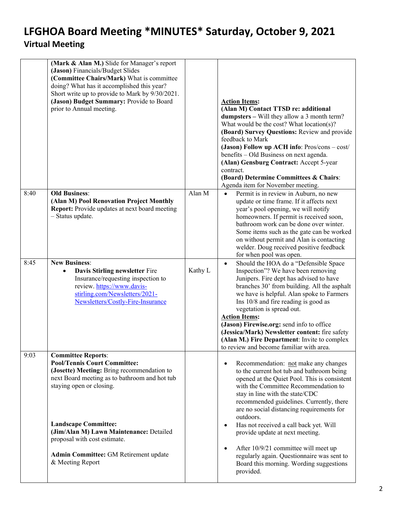|      | (Mark & Alan M.) Slide for Manager's report<br>(Jason) Financials/Budget Slides<br>(Committee Chairs/Mark) What is committee<br>doing? What has it accomplished this year?<br>Short write up to provide to Mark by 9/30/2021.<br>(Jason) Budget Summary: Provide to Board<br>prior to Annual meeting. |         | <b>Action Items:</b><br>(Alan M) Contact TTSD re: additional<br><b>dumpsters</b> – Will they allow a 3 month term?<br>What would be the cost? What location(s)?<br>(Board) Survey Questions: Review and provide<br>feedback to Mark<br>(Jason) Follow up ACH info: Pros/cons - cost/<br>benefits - Old Business on next agenda.<br>(Alan) Gensburg Contract: Accept 5-year<br>contract.<br>(Board) Determine Committees & Chairs:<br>Agenda item for November meeting.                                                  |
|------|-------------------------------------------------------------------------------------------------------------------------------------------------------------------------------------------------------------------------------------------------------------------------------------------------------|---------|-------------------------------------------------------------------------------------------------------------------------------------------------------------------------------------------------------------------------------------------------------------------------------------------------------------------------------------------------------------------------------------------------------------------------------------------------------------------------------------------------------------------------|
| 8:40 | <b>Old Business:</b><br>(Alan M) Pool Renovation Project Monthly<br>Report: Provide updates at next board meeting<br>- Status update.                                                                                                                                                                 | Alan M  | Permit is in review in Auburn, no new<br>$\bullet$<br>update or time frame. If it affects next<br>year's pool opening, we will notify<br>homeowners. If permit is received soon,<br>bathroom work can be done over winter.<br>Some items such as the gate can be worked<br>on without permit and Alan is contacting<br>welder. Doug received positive feedback<br>for when pool was open.                                                                                                                               |
| 8:45 | <b>New Business:</b><br>Davis Stirling newsletter Fire<br>$\bullet$<br>Insurance/requesting inspection to<br>review. https://www.davis-<br>stirling.com/Newsletters/2021-<br>Newsletters/Costly-Fire-Insurance                                                                                        | Kathy L | Should the HOA do a "Defensible Space<br>$\bullet$<br>Inspection"? We have been removing<br>Junipers. Fire dept has advised to have<br>branches 30' from building. All the asphalt<br>we have is helpful. Alan spoke to Farmers<br>Ins 10/8 and fire reading is good as<br>vegetation is spread out.<br><b>Action Items:</b><br>(Jason) Firewise.org: send info to office<br>(Jessica/Mark) Newsletter content: fire safety<br>(Alan M.) Fire Department: Invite to complex<br>to review and become familiar with area. |
| 9:03 | <b>Committee Reports:</b><br><b>Pool/Tennis Court Committee:</b><br>(Josette) Meeting: Bring recommendation to<br>next Board meeting as to bathroom and hot tub<br>staying open or closing.                                                                                                           |         | Recommendation: not make any changes<br>٠<br>to the current hot tub and bathroom being<br>opened at the Quiet Pool. This is consistent<br>with the Committee Recommendation to<br>stay in line with the state/CDC<br>recommended guidelines. Currently, there<br>are no social distancing requirements for<br>outdoors.                                                                                                                                                                                                 |
|      | <b>Landscape Committee:</b><br>(Jim/Alan M) Lawn Maintenance: Detailed<br>proposal with cost estimate.<br>Admin Committee: GM Retirement update<br>& Meeting Report                                                                                                                                   |         | Has not received a call back yet. Will<br>٠<br>provide update at next meeting.<br>After 10/9/21 committee will meet up<br>٠<br>regularly again. Questionnaire was sent to<br>Board this morning. Wording suggestions<br>provided.                                                                                                                                                                                                                                                                                       |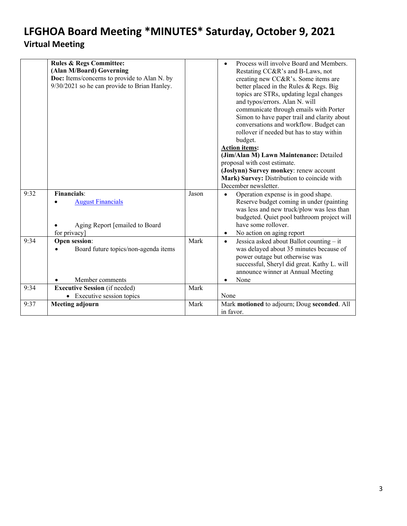<span id="page-2-0"></span>

|      | <b>Rules &amp; Regs Committee:</b>           |       | Process will involve Board and Members.                 |
|------|----------------------------------------------|-------|---------------------------------------------------------|
|      | (Alan M/Board) Governing                     |       | Restating CC&R's and B-Laws, not                        |
|      | Doc: Items/concerns to provide to Alan N. by |       | creating new CC&R's. Some items are                     |
|      | 9/30/2021 so he can provide to Brian Hanley. |       | better placed in the Rules & Regs. Big                  |
|      |                                              |       | topics are STRs, updating legal changes                 |
|      |                                              |       | and typos/errors. Alan N. will                          |
|      |                                              |       | communicate through emails with Porter                  |
|      |                                              |       | Simon to have paper trail and clarity about             |
|      |                                              |       | conversations and workflow. Budget can                  |
|      |                                              |       | rollover if needed but has to stay within               |
|      |                                              |       | budget.                                                 |
|      |                                              |       | <b>Action items:</b>                                    |
|      |                                              |       | (Jim/Alan M) Lawn Maintenance: Detailed                 |
|      |                                              |       | proposal with cost estimate.                            |
|      |                                              |       | (Joslynn) Survey monkey: renew account                  |
|      |                                              |       | Mark) Survey: Distribution to coincide with             |
|      |                                              |       | December newsletter.                                    |
| 9:32 | <b>Financials:</b>                           | Jason | Operation expense is in good shape.<br>$\bullet$        |
|      | <b>August Financials</b>                     |       | Reserve budget coming in under (painting                |
|      |                                              |       | was less and new truck/plow was less than               |
|      |                                              |       | budgeted. Quiet pool bathroom project will              |
|      | Aging Report [emailed to Board               |       | have some rollover.                                     |
|      | for privacy]                                 |       | No action on aging report<br>$\bullet$                  |
| 9:34 | Open session:                                | Mark  | Jessica asked about Ballot counting $-$ it<br>$\bullet$ |
|      | Board future topics/non-agenda items         |       | was delayed about 35 minutes because of                 |
|      |                                              |       | power outage but otherwise was                          |
|      |                                              |       | successful, Sheryl did great. Kathy L. will             |
|      |                                              |       | announce winner at Annual Meeting                       |
|      | Member comments                              |       | None                                                    |
| 9:34 | <b>Executive Session</b> (if needed)         | Mark  |                                                         |
|      | • Executive session topics                   |       | None                                                    |
| 9:37 | <b>Meeting adjourn</b>                       | Mark  | Mark motioned to adjourn; Doug seconded. All            |
|      |                                              |       | in favor.                                               |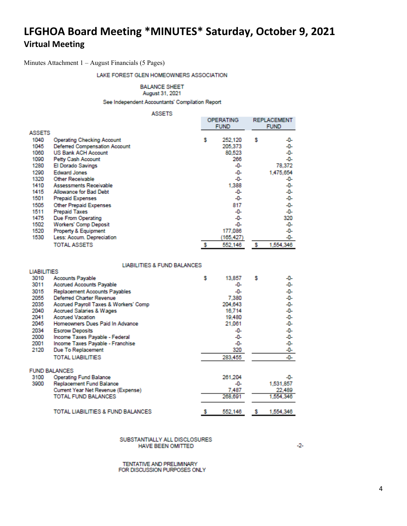<span id="page-3-0"></span>Minutes Attachment 1 – August Financials (5 Pages)

#### LAKE FOREST GLEN HOMEOWNERS ASSOCIATION

**BALANCE SHEET** 

August 31, 2021

See Independent Accountants' Compilation Report

#### **ASSETS**

|               |                                      | ----- |   |             |             |                    |  |  |  |
|---------------|--------------------------------------|-------|---|-------------|-------------|--------------------|--|--|--|
|               |                                      |       |   | OPERATING   |             | <b>REPLACEMENT</b> |  |  |  |
|               |                                      |       |   | <b>FUND</b> | <b>FUND</b> |                    |  |  |  |
| <b>ASSETS</b> |                                      |       |   |             |             |                    |  |  |  |
| 1040          | <b>Operating Checking Account</b>    |       | s | 252,120     | s           | -0-                |  |  |  |
| 1045          | <b>Deferred Compensation Account</b> |       |   | 205,373     |             | -0-                |  |  |  |
| 1060          | <b>US Bank ACH Account</b>           |       |   | 80,523      |             | -0-                |  |  |  |
| 1090          | Petty Cash Account                   |       |   | 266         |             | -0-                |  |  |  |
| 1280          | <b>El Dorado Savings</b>             |       |   | -0-         |             | 78,372             |  |  |  |
| 1290          | <b>Edward Jones</b>                  |       |   | -0-         |             | 1,475,654          |  |  |  |
| 1320          | Other Receivable                     |       |   | -0-         |             | -0-                |  |  |  |
| 1410          | Assessments Receivable               |       |   | 1,388       |             | -0-                |  |  |  |
| 1415          | Allowance for Bad Debt               |       |   | -0-         |             | -0-                |  |  |  |
| 1501          | <b>Prepaid Expenses</b>              |       |   | -0-         |             | -0-                |  |  |  |
| 1505          | <b>Other Prepaid Expenses</b>        |       |   | 817         |             | -0-                |  |  |  |
| 1511          | <b>Prepaid Taxes</b>                 |       |   | -0-         |             | -0-                |  |  |  |
| 1475          | Due From Operating                   |       |   | -0-         |             | 320                |  |  |  |
| 1502          | <b>Workers' Comp Deposit</b>         |       |   | -0-         |             | -0-                |  |  |  |
| 1520          | Property & Equipment                 |       |   | 177,086     |             | -0-                |  |  |  |
| 1530          | Less: Accum. Depreciation            |       |   | (165,427)   |             | -0-                |  |  |  |
|               | <b>TOTAL ASSETS</b>                  |       |   | 552,146     |             | 1,554,346          |  |  |  |
|               |                                      |       |   |             |             |                    |  |  |  |

#### **LIABILITIES & FUND BALANCES**

| <b>LIABILITIES</b> |                                       |   |         |   |           |
|--------------------|---------------------------------------|---|---------|---|-----------|
| 3010               | <b>Accounts Payable</b>               | s | 13,857  | s | -0-       |
| 3011               | <b>Accrued Accounts Payable</b>       |   | -0-     |   | -0-       |
| 3015               | Replacement Accounts Payables         |   | -0-     |   | -0-       |
| 2055               | <b>Deferred Charter Revenue</b>       |   | 7,380   |   | -0-       |
| 2035               | Accrued Payroll Taxes & Workers' Comp |   | 204.643 |   | -0-       |
| 2040               | <b>Accrued Salaries &amp; Wages</b>   |   | 16.714  |   | -0-       |
| 2041               | <b>Accrued Vacation</b>               |   | 19,480  |   | -0-       |
| 2045               | Homeowners Dues Paid In Advance       |   | 21,061  |   | -0-       |
| 2034               | <b>Escrow Deposits</b>                |   | -0-     |   | -0-       |
| 2000               | Income Taxes Payable - Federal        |   | -0-     |   | -0-       |
| 2001               | Income Taxes Payable - Franchise      |   | -0-     |   | -0-       |
| 2120               | Due To Replacement                    |   | 320     |   | -0-       |
|                    | <b>TOTAL LIABILITIES</b>              |   | 283,455 |   | -0-       |
|                    | <b>FUND BALANCES</b>                  |   |         |   |           |
| 3100               | <b>Operating Fund Balance</b>         |   | 261.204 |   | -0-       |
| 3900               | Replacement Fund Balance              |   | -0-     |   | 1,531,857 |
|                    | Current Year Net Revenue (Expense)    |   | 7,487   |   | 22,489    |
|                    | <b>TOTAL FUND BALANCES</b>            |   | 268,691 |   | 1,554,346 |
|                    | TOTAL LIABILITIES & FUND BALANCES     |   | 552,146 | s | 1,554,346 |

#### SUBSTANTIALLY ALL DISCLOSURES HAVE BEEN OMITTED

TENTATIVE AND PRELIMINARY FOR DISCUSSION PURPOSES ONLY  $-2-$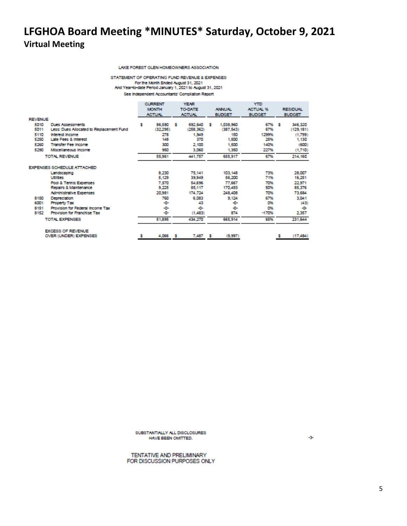#### LAKE FOREST GLEN HOMEOWNERS ASSOCIATION

#### STATEMENT OF OPERATING FUND REVENUE & EXPENSES For the Month Ended August 31, 2021<br>For the Month Ended August 31, 2021<br>And Year-to-date Period January 1, 2021 to August 31, 2021

See Independent Accountants' Compilation Report

|                |                                          |   | <b>CURRENT</b> |               | <b>YEAR</b>    |   | <b>YTD</b>    |                 |                 |
|----------------|------------------------------------------|---|----------------|---------------|----------------|---|---------------|-----------------|-----------------|
|                |                                          |   | <b>MONTH</b>   |               | <b>TO DATE</b> |   | <b>ANNUAL</b> | <b>ACTUAL %</b> | <b>RESIDUAL</b> |
|                |                                          |   | <b>ACTUNL</b>  | <b>ACTUN.</b> |                |   | <b>BUDGET</b> | <b>BUDGET</b>   | <b>BUDGET</b>   |
| <b>REVENUE</b> |                                          |   |                |               |                |   |               |                 |                 |
| 5010           | <b>Dues Assessments</b>                  | s | 86,580         | - 5           | 692.640        | s | 1,038,960     | 67% \$          | 346,320         |
| 5011           | Less: Dues Allocated to Replacement Fund |   | (32,295)       |               | (258, 362)     |   | (387, 543)    | 67%             | (129, 181)      |
| 5110           | <b>Interest Income</b>                   |   | 278            |               | 1,949          |   | 150           | 1299%           | (1.799)         |
| 5250           | <b>Late Fees &amp; Interest</b>          |   | 148            |               | 370            |   | 1,500         | 25%             | 1,130           |
| 5260           | <b>Transfer Fee Income</b>               |   | 300            |               | 2,100          |   | 1,500         | 140%            | (600)           |
| 5290           | Mscellaneous Income                      |   | 950            |               | 3,060          |   | 1,350         | 227%            | (1,710)         |
|                | TOTAL REVENUE                            |   | 55,961         |               | 441,757        |   | 655,917       | 67%             | 214,160         |
|                | <b>EXPENSES SCHEDULE ATTACHED</b>        |   |                |               |                |   |               |                 |                 |
|                | Landscaping                              |   | 8,230          |               | 75.141         |   | 103, 148      | 73%             | 28,007          |
|                | Utilities                                |   | 5,129          |               | 39,949         |   | 56,200        | 71%             | 16,251          |
|                | Pool & Tennis Expenses                   |   | 7,570          |               | 54.696         |   | 77,667        | 70%             | 22,971          |
|                | Repairs & Maintenance                    |   | 9,225          |               | 85,117         |   | 170,493       | 50%             | 85,376          |
|                | <b>Administrative Expenses</b>           |   | 20,981         |               | 174,724        |   | 248,408       | 70%             | 73,684          |
| 8150           | Depreciation                             |   | 760            |               | 6,083          |   | 9.124         | 67%             | 3,041           |
| 6001           | <b>Property Tax</b>                      |   | -0-            |               | 43             |   | ÷             | O%              | (43)            |
| 8151           | Provision for Federal Income Tax         |   | -0-            |               | -0-            |   | ÷             | O%              | ÷               |
| 8152           | <b>Provision for Franchise Tax</b>       |   | -0-            |               | (1,483)        |   | 874           | $-170%$         | 2,357           |
|                | TOTAL EXPENSES                           |   | 51,895         |               | 434,270        |   | 665,914       | 65%             | 231,644         |
|                | <b>EXCESS OF REVENUE</b>                 |   |                |               |                |   |               |                 |                 |
|                | OVER (UNDER) EXPENSES                    |   | 4,066          | - 5           | 7,487          | ъ | (9,997)       |                 | (17, 484)       |

SUBSTANTIALLY ALL DISCLOSURES HAVE BEEN OMITTED.

TENTATIVE AND PRELIMINARY FOR DISCUSSION PURPOSES ONLY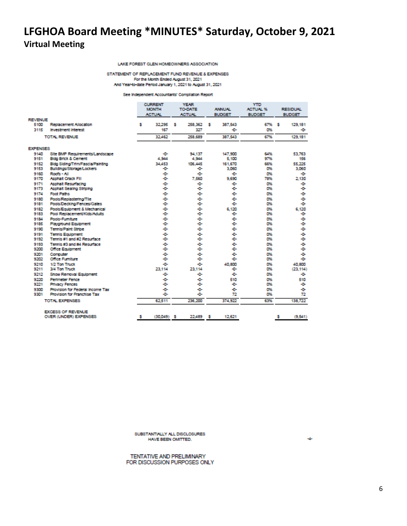#### LAKE FOREST GLEN HOMEOWNERS ASSOCIATION

STATEMENT OF REPLACEMENT FUND REVENUE & EXPENSES For the Month Ended August 31, 2021 And Year-to-date Period January 1, 2021 to August 31, 2021

#### See Independent Accountants' Compliation Report

|                 |                                                 | <b>CURRENT</b><br><b>MONTH</b><br><b>ACTUAL</b> |    | <b>YEAR</b><br><b>TO-DATE</b><br><b>ACTUN.</b> | <b>ANNUAL</b><br><b>BUDGET</b> | <b>YTD</b><br><b>ACTUAL %</b><br><b>BUDGET</b> | <b>RESIDUAL</b><br><b>BUDGET</b> |                    |
|-----------------|-------------------------------------------------|-------------------------------------------------|----|------------------------------------------------|--------------------------------|------------------------------------------------|----------------------------------|--------------------|
| <b>REVENUE</b>  |                                                 |                                                 |    |                                                |                                |                                                |                                  |                    |
| 5100            | Replacement Allocation                          | 32.295<br>5                                     | s  | 258.362                                        | 387,543<br>5                   | 67%                                            | s                                | 129,181            |
| 3115            | <b>Investment Interest</b>                      | 167                                             |    | 327                                            | ÷                              | O%                                             |                                  | ÷                  |
|                 | <b>TOTAL REVENUE</b>                            | 32,462                                          |    | 258,689                                        | 387.543                        | 67%                                            |                                  | 129,181            |
| <b>EXPENSES</b> |                                                 |                                                 |    |                                                |                                |                                                |                                  |                    |
| 9140            | Site BMP Requirements/Landscape                 | -0-                                             |    | 94.137                                         | 147,900                        | 64%                                            |                                  | 53.763             |
| 9151            | <b>Bidg Brick &amp; Cement</b>                  | 4,944                                           |    | 4,944                                          | 5,100                          | 97%                                            |                                  | 156                |
| 9152            | Bidg Siding/Trim/Fascia/Painting                | 34.453                                          |    | 106.445                                        | 161,670                        | 66%                                            |                                  | 55.225             |
| 9153            | Buildings/Storage/Lockers                       | -0-                                             |    | ÷                                              | 3.060                          | O%                                             |                                  | 3.060              |
| 9160            | Roofs - All                                     | -0-                                             |    | ÷                                              | ÷                              | 0%                                             |                                  | ÷                  |
| 9170            | <b>Asphalt Crack Fill</b>                       | -0-                                             |    | 7.560                                          | 9,690                          | 78%                                            |                                  | 2.130              |
| 9171            | Asphalt Resurfacing                             | -0-                                             |    | ÷                                              | ÷D-                            | 0%                                             |                                  | ÷                  |
| 9173            | Asphalt Sealing Striping                        | -0-                                             |    | ÷                                              | ÷.                             | D%                                             |                                  | ÷                  |
| 9174            | <b>Foot Paths</b>                               | -0-                                             |    | ÷D-                                            | ÷D-                            | D%                                             |                                  | ÷                  |
| 9180            | Pools/Replastering/Tile                         | -0-                                             |    | ÷D-                                            | ÷D-                            | D%                                             |                                  | ÷                  |
| 9181            | Pools/Decking/Fences/Gates                      | -0-                                             |    | ÷D-                                            | ÷.                             | D%                                             |                                  | ÷                  |
| 9182            | Pools/Equipment & Mechanical                    | -0-                                             |    | ÷                                              | 6.120                          | O%                                             |                                  | 6.120              |
| 9183            | Pool Replacement/Kids/Adults                    | -0-                                             |    | ÷                                              | ÷D-                            | D%                                             |                                  | ÷                  |
| 9184            | Pools-Fumiture                                  | -0-                                             |    | ÷b-                                            | ÷D-                            | D%                                             |                                  | ÷                  |
| 9185            | <b>Playground Equipment</b>                     | -0-                                             |    | ÷b-                                            | ÷D-                            | O%                                             |                                  | ÷                  |
| 9190            | <b>Tennis/Paint Stripe</b>                      | -0-                                             |    | ÷                                              | ÷D-                            | O%                                             |                                  | ÷                  |
| 9191            | <b>Tennis Equipment</b>                         | -0-                                             |    | -a-                                            | ÷.                             | O%                                             |                                  | ÷                  |
| 9192            | Tennis #1 and #2 Resurface                      | -0-                                             |    | ÷                                              | ÷                              | O%                                             |                                  | ÷                  |
| 9193            | Tennis #3 and #4 Resurface                      | -0-                                             |    | ÷                                              | ÷                              | 0%                                             |                                  | ÷                  |
| 9200            | <b>Office Equipment</b>                         | -0-                                             |    | ÷ū-                                            | ÷.                             | O%                                             |                                  | ÷                  |
| 9201            | Computer<br><b>Office Furniture</b>             | -0-                                             |    | ÷<br>÷                                         | ÷<br>÷                         | 0%                                             |                                  | ÷<br>÷             |
| 9202            |                                                 | -0-                                             |    |                                                |                                | 0%                                             |                                  |                    |
| 9210<br>9211    | 1/2 Ton Truck<br>3/4 Ton Truck                  | -0-<br>23.114                                   |    | ÷<br>23.114                                    | 40,800<br>÷                    | D%<br>O%                                       |                                  | 40,800<br>(23.114) |
| 9212            | <b>Snow Removal Equipment</b>                   | -0-                                             |    | ۰۵                                             | ÷.                             | D%                                             |                                  | ÷                  |
| 9220            |                                                 |                                                 |    | ÷D-                                            |                                | D%                                             |                                  |                    |
| 9221            | <b>Perimeter Fence</b><br><b>Privacy Fences</b> | -0-<br>-0-                                      |    | ÷                                              | 510<br>÷D-                     | D%                                             |                                  | 510<br>÷           |
| 9300            | <b>Provision for Federal Income Tax</b>         | -0-                                             |    | ÷                                              | ÷D-                            | O%                                             |                                  | ÷                  |
| 9301            | <b>Provision for Franchise Tax</b>              | -0-                                             |    | ÷D-                                            | 72                             | O%                                             |                                  | 72                 |
|                 | TOTAL EXPENSES.                                 | 62.511                                          |    | 236,200                                        | 374,922                        | 63%                                            |                                  | 138,722            |
|                 |                                                 |                                                 |    |                                                |                                |                                                |                                  |                    |
|                 | <b>EXCESS OF REVENUE</b>                        |                                                 |    |                                                |                                |                                                |                                  |                    |
|                 | OVER (UNDER) EXPENSES                           | (30.049)<br>5                                   | -5 | 22,489                                         | 12.621<br>5                    |                                                | s                                | (9.541)            |

SUBSTANTIALLY ALL DISCLOSURES HAVE BEEN OMITTED.

TENTATIVE AND PRELIMINARY FOR DISCUSSION PURPOSES ONLY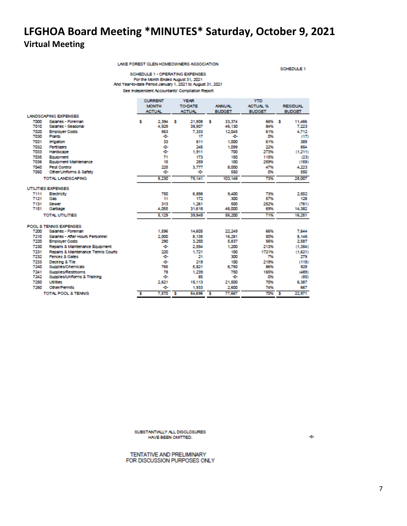LAKE FOREST GLEN HOMEOWNERS ASSOCIATION

SCHEDULE 1

SCHEDULE 1 - OPERATING EXPENSES For the Month Ended August 31, 2021<br>And Year-to-date Period January 1, 2021 to August 31, 2021 See Independent Accountants' Compilation Report

|      |                                         |   | <b>CURRENT</b> |   | <b>YEAR</b>   |    | <b>YTD</b>                       |               |     |                 |
|------|-----------------------------------------|---|----------------|---|---------------|----|----------------------------------|---------------|-----|-----------------|
|      |                                         |   | <b>MONTH</b>   |   | TO DATE       |    | <b>ACTUAL %</b><br><b>ANNUAL</b> |               |     | <b>RESIDUAL</b> |
|      |                                         |   | <b>ACTUAL</b>  |   | <b>ACTUN.</b> |    | <b>BUDGET</b>                    | <b>BUDGET</b> |     | <b>BUDGET</b>   |
|      | LANDSCAPING EXPENSES                    |   |                |   |               |    |                                  |               |     |                 |
| 7000 | Salaries - Foreman                      | 5 | 2.394          | s | 21,908        | и  | 33,374                           | 66%           | - 5 | 11,466          |
| 7010 | Salaries - Seasonal                     |   | 4,929          |   | 38,907        |    | 46,130                           | 84%           |     | 7,223           |
| 7020 | <b>Employer Costs</b>                   |   | 563            |   | 7.333         |    | 12.045                           | 61%           |     | 4.712           |
| 7030 | Plants                                  |   | -0-            |   | 17            |    | ÷                                | O%            |     | (17)            |
| 7031 | <b>Irrigation</b>                       |   | 33             |   | 611           |    | 1,000                            | 61%           |     | 389             |
| 7032 | <b>Fertilizers</b>                      |   | -0-            |   | 245           |    | 1.099                            | 22%           |     | 854             |
| 7033 | Hardscape                               |   | -0-            |   | 1,911         |    | 700                              | 273%          |     | (1,211)         |
| 7035 | Equipment                               |   | 71             |   | 173           |    | 150                              | 115%          |     | (23)            |
| 7036 | Equipment Maintenance                   |   | 15             |   | 259           |    | 100                              | 259%          |     | (159)           |
| 7040 | <b>Pest Control</b>                     |   | 225            |   | 3,777         |    | 8,000                            | 47%           |     | 4.223           |
| 7050 | Other/Uniforms & Safety                 |   | ÷ū-            |   | -0-           |    | 550                              | 0%            |     | 550             |
|      | TOTAL LANDSCAPING                       |   | 8,230          |   | 75,141        |    | 103.148                          | 73%           |     | 28,007          |
|      | UTILITIES EXPENSES                      |   |                |   |               |    |                                  |               |     |                 |
| 7111 | Electricity                             |   | 750            |   | 6,898         |    | 9.400                            | 73%           |     | 2.502           |
| 7121 | Gas                                     |   | 11             |   | 172           |    | 300                              | 57%           |     | 128             |
| 7131 | Sewer                                   |   | 313            |   | 1,261         |    | 500                              | 252%          |     | (761)           |
| 7151 | Garbage                                 |   | 4,055          |   | 31.618        |    | 46,000                           | 69%           |     | 14,382          |
|      | <b>TOTAL UTILITIES</b>                  |   | 5.129          |   | 39.949        |    | 56,200                           | 71%           |     | 16.251          |
|      | POOL & TENNIS EXPENSES                  |   |                |   |               |    |                                  |               |     |                 |
| 7200 | Salaries - Foreman                      |   | 1,596          |   | 14,605        |    | 22,249                           | 66%           |     | 7,644           |
| 7210 | Salaries - After Hours Personnel        |   | 2,000          |   | 8.135         |    | 16,281                           | 50%           |     | 8.146           |
| 7220 | <b>Employer Costs</b>                   |   | 290            |   | 3,250         |    | 5,837                            | 56%           |     | 2,587           |
| 7230 | Repairs & Maintenance Equipment         |   | -0-            |   | 2,554         |    | 1,200                            | 213%          |     | (1.354)         |
| 7231 | Repairs & Maintenance Tennis Courts     |   | 220            |   | 1.721         |    | 100                              | 1721%         |     | (1,621)         |
| 7232 | Fences & Gates                          |   | -0-            |   | 21            |    | 300                              | 7%            |     | 279             |
| 7233 | Decking & Tile                          |   | -0-            |   | 219           |    | 100                              | 219%          |     | (119)           |
| 7240 | <b>Supplies/Chemicals</b>               |   | 765            |   | 5,821         |    | 6,750                            | 86%           |     | 929             |
| 7241 | <b>Supplies/Restrooms</b>               |   | 78             |   | 1,239         |    | 750                              | 165%          |     | (489)           |
| 7242 | <b>Supplies/Uniforms &amp; Training</b> |   | ÷D-            |   | 85            |    | ÷                                | 0%            |     | (85)            |
| 7250 | <b>Utilities</b>                        |   | 2,621          |   | 15,113        |    | 21,500                           | 70%           |     | 6.387           |
| 7260 | Other/Permits                           |   | -0-            |   | 1,933         |    | 2,600                            | 74%           |     | 667             |
|      | <b>TOTAL POOL &amp; TENNIS</b>          | s | 7,570          | s | 54,696        | -5 | 77,667                           | 70%           | -5  | 22.971          |

SUBSTANTIALLY ALL DISCLOSURES HAVE BEEN OMITTED.

TENTATIVE AND PRELIMINARY FOR DISCUSSION PURPOSES ONLY ÷